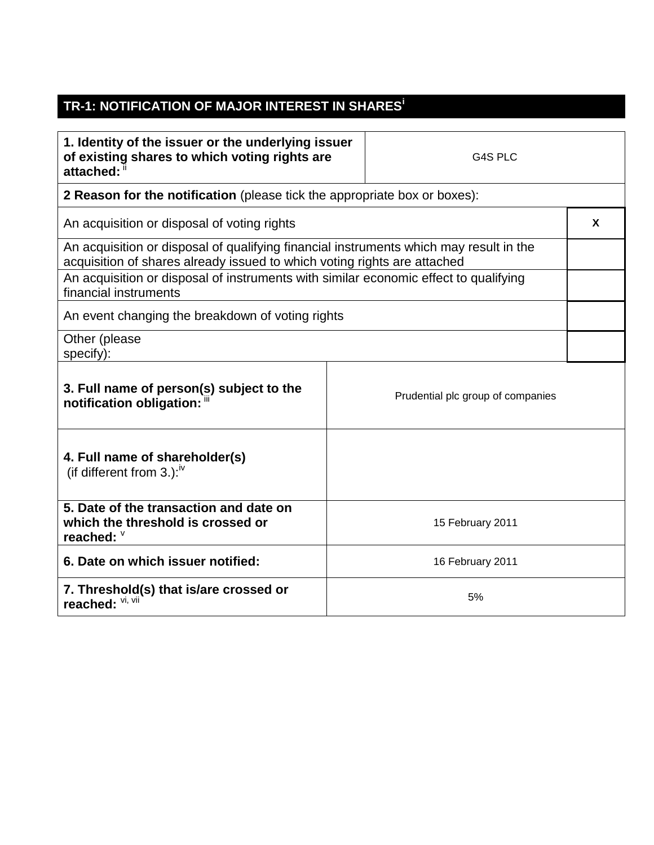## **TR-1: NOTIFICATION OF MAJOR INTEREST IN SHARES<sup>i</sup>**

| 1. Identity of the issuer or the underlying issuer<br>of existing shares to which voting rights are<br>attached:                                                   |                  | G4S PLC          |  |  |
|--------------------------------------------------------------------------------------------------------------------------------------------------------------------|------------------|------------------|--|--|
| 2 Reason for the notification (please tick the appropriate box or boxes):                                                                                          |                  |                  |  |  |
| An acquisition or disposal of voting rights                                                                                                                        |                  |                  |  |  |
| An acquisition or disposal of qualifying financial instruments which may result in the<br>acquisition of shares already issued to which voting rights are attached |                  |                  |  |  |
| An acquisition or disposal of instruments with similar economic effect to qualifying<br>financial instruments                                                      |                  |                  |  |  |
| An event changing the breakdown of voting rights                                                                                                                   |                  |                  |  |  |
| Other (please<br>specify):                                                                                                                                         |                  |                  |  |  |
| 3. Full name of person(s) subject to the<br>Prudential plc group of companies<br>notification obligation: "                                                        |                  |                  |  |  |
| 4. Full name of shareholder(s)<br>(if different from 3.): $\sqrt{v}$                                                                                               |                  |                  |  |  |
| 5. Date of the transaction and date on<br>which the threshold is crossed or<br>reached: V                                                                          |                  | 15 February 2011 |  |  |
| 6. Date on which issuer notified:                                                                                                                                  | 16 February 2011 |                  |  |  |
| 7. Threshold(s) that is/are crossed or<br>reached: Vi, Vii                                                                                                         | 5%               |                  |  |  |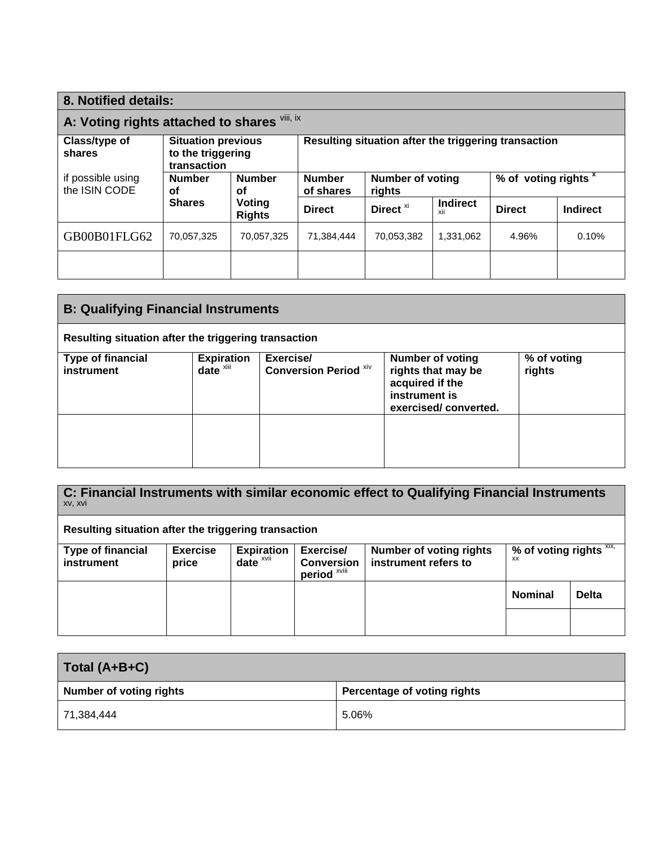| 8. Notified details:                                                                     |                                            |                                                      |                                   |                      |                        |                                 |                 |
|------------------------------------------------------------------------------------------|--------------------------------------------|------------------------------------------------------|-----------------------------------|----------------------|------------------------|---------------------------------|-----------------|
| A: Voting rights attached to shares Vili, ix                                             |                                            |                                                      |                                   |                      |                        |                                 |                 |
| Class/type of<br><b>Situation previous</b><br>to the triggering<br>shares<br>transaction |                                            | Resulting situation after the triggering transaction |                                   |                      |                        |                                 |                 |
| if possible using<br>the ISIN CODE                                                       | <b>Number</b><br><b>Number</b><br>οf<br>οf | <b>Number</b><br>of shares                           | <b>Number of voting</b><br>rights |                      |                        | % of voting rights <sup>x</sup> |                 |
|                                                                                          | <b>Shares</b>                              | Voting<br><b>Rights</b>                              | <b>Direct</b>                     | Direct <sup>xi</sup> | <b>Indirect</b><br>xii | <b>Direct</b>                   | <b>Indirect</b> |
| GB00B01FLG62                                                                             | 70,057,325                                 | 70,057,325                                           | 71,384,444                        | 70,053,382           | 1,331,062              | 4.96%                           | 0.10%           |
|                                                                                          |                                            |                                                      |                                   |                      |                        |                                 |                 |

| <b>B: Qualifying Financial Instruments</b>           |                                               |                                           |                                                                                                           |                       |  |
|------------------------------------------------------|-----------------------------------------------|-------------------------------------------|-----------------------------------------------------------------------------------------------------------|-----------------------|--|
| Resulting situation after the triggering transaction |                                               |                                           |                                                                                                           |                       |  |
| <b>Type of financial</b><br>instrument               | <b>Expiration</b><br>$date^{\overline{x}iii}$ | Exercise/<br><b>Conversion Period Xiv</b> | <b>Number of voting</b><br>rights that may be<br>acquired if the<br>instrument is<br>exercised/converted. | % of voting<br>rights |  |
|                                                      |                                               |                                           |                                                                                                           |                       |  |

| C: Financial Instruments with similar economic effect to Qualifying Financial Instruments<br>XV, XVI |                          |                                              |                                                           |                                                        |                                         |              |
|------------------------------------------------------------------------------------------------------|--------------------------|----------------------------------------------|-----------------------------------------------------------|--------------------------------------------------------|-----------------------------------------|--------------|
| Resulting situation after the triggering transaction                                                 |                          |                                              |                                                           |                                                        |                                         |              |
| <b>Type of financial</b><br>instrument                                                               | <b>Exercise</b><br>price | <b>Expiration</b><br>date $x$ <sub>vii</sub> | Exercise/<br><b>Conversion</b><br>period <sup>xviii</sup> | <b>Number of voting rights</b><br>instrument refers to | % of voting rights $XIX$ ,<br><b>XX</b> |              |
|                                                                                                      |                          |                                              |                                                           |                                                        | <b>Nominal</b>                          | <b>Delta</b> |
|                                                                                                      |                          |                                              |                                                           |                                                        |                                         |              |

| Total (A+B+C)                  |                                    |
|--------------------------------|------------------------------------|
| <b>Number of voting rights</b> | <b>Percentage of voting rights</b> |
| 71,384,444                     | 5.06%                              |